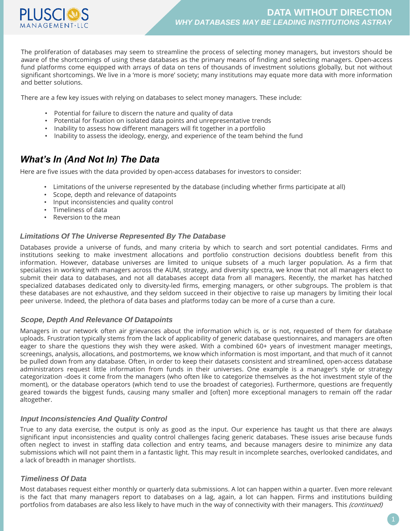

The proliferation of databases may seem to streamline the process of selecting money managers, but investors should be aware of the shortcomings of using these databases as the primary means of finding and selecting managers. Open-access fund platforms come equipped with arrays of data on tens of thousands of investment solutions globally, but not without significant shortcomings. We live in a 'more is more' society; many institutions may equate more data with more information and better solutions.

There are a few key issues with relying on databases to select money managers. These include:

- Potential for failure to discern the nature and quality of data
- Potential for fixation on isolated data points and unrepresentative trends
- Inability to assess how different managers will fit together in a portfolio
- Inability to assess the ideology, energy, and experience of the team behind the fund

## *What's In (And Not In) The Data*

Here are five issues with the data provided by open-access databases for investors to consider:

- Limitations of the universe represented by the database (including whether firms participate at all)
- Scope, depth and relevance of datapoints
- Input inconsistencies and quality control
- Timeliness of data
- Reversion to the mean

#### *Limitations Of The Universe Represented By The Database*

Databases provide a universe of funds, and many criteria by which to search and sort potential candidates. Firms and institutions seeking to make investment allocations and portfolio construction decisions doubtless benefit from this information. However, database universes are limited to unique subsets of a much larger population. As a firm that specializes in working with managers across the AUM, strategy, and diversity spectra, we know that not all managers elect to submit their data to databases, and not all databases accept data from all managers. Recently, the market has hatched specialized databases dedicated only to diversity-led firms, emerging managers, or other subgroups. The problem is that these databases are not exhaustive, and they seldom succeed in their objective to raise up managers by limiting their local peer universe. Indeed, the plethora of data bases and platforms today can be more of a curse than a cure.

#### *Scope, Depth And Relevance Of Datapoints*

Managers in our network often air grievances about the information which is, or is not, requested of them for database uploads. Frustration typically stems from the lack of applicability of generic database questionnaires, and managers are often eager to share the questions they wish they were asked. With a combined 60+ years of investment manager meetings, screenings, analysis, allocations, and postmortems, we know which information is most important, and that much of it cannot be pulled down from any database. Often, in order to keep their datasets consistent and streamlined, open-access database administrators request little information from funds in their universes. One example is a manager's style or strategy categorization -does it come from the managers (who often like to categorize themselves as the hot investment style of the moment), or the database operators (which tend to use the broadest of categories). Furthermore, questions are frequently geared towards the biggest funds, causing many smaller and [often] more exceptional managers to remain off the radar altogether.

#### *Input Inconsistencies And Quality Control*

True to any data exercise, the output is only as good as the input. Our experience has taught us that there are always significant input inconsistencies and quality control challenges facing generic databases. These issues arise because funds often neglect to invest in staffing data collection and entry teams, and because managers desire to minimize any data submissions which will not paint them in a fantastic light. This may result in incomplete searches, overlooked candidates, and a lack of breadth in manager shortlists.

#### *Timeliness Of Data*

Most databases request either monthly or quarterly data submissions. A lot can happen within a quarter. Even more relevant is the fact that many managers report to databases on a lag, again, a lot can happen. Firms and institutions building portfolios from databases are also less likely to have much in the way of connectivity with their managers. This (continued)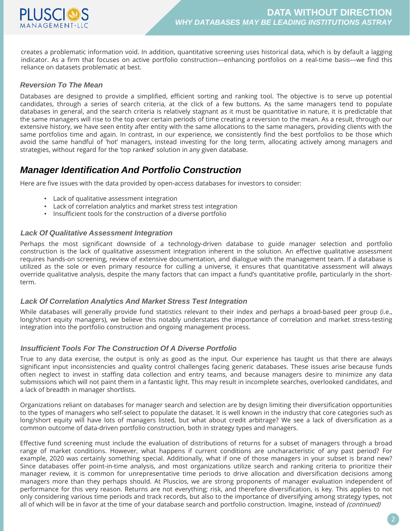

creates a problematic information void. In addition, quantitative screening uses historical data, which is by default a lagging indicator. As a firm that focuses on active portfolio construction––enhancing portfolios on a real-time basis––we find this reliance on datasets problematic at best.

### *Reversion To The Mean*

Databases are designed to provide a simplified, efficient sorting and ranking tool. The objective is to serve up potential candidates, through a series of search criteria, at the click of a few buttons. As the same managers tend to populate databases in general, and the search criteria is relatively stagnant as it must be quantitative in nature, it is predictable that the same managers will rise to the top over certain periods of time creating a reversion to the mean. As a result, through our extensive history, we have seen entity after entity with the same allocations to the same managers, providing clients with the same portfolios time and again. In contrast, in our experience, we consistently find the best portfolios to be those which avoid the same handful of 'hot' managers, instead investing for the long term, allocating actively among managers and strategies, without regard for the 'top ranked' solution in any given database.

## *Manager Identification And Portfolio Construction*

Here are five issues with the data provided by open-access databases for investors to consider:

- Lack of qualitative assessment integration
- Lack of correlation analytics and market stress test integration
- Insufficient tools for the construction of a diverse portfolio

#### *Lack Of Qualitative Assessment Integration*

Perhaps the most significant downside of a technology-driven database to guide manager selection and portfolio construction is the lack of qualitative assessment integration inherent in the solution. An effective qualitative assessment requires hands-on screening, review of extensive documentation, and dialogue with the management team. If a database is utilized as the sole or even primary resource for culling a universe, it ensures that quantitative assessment will always override qualitative analysis, despite the many factors that can impact a fund's quantitative profile, particularly in the shortterm.

#### *Lack Of Correlation Analytics And Market Stress Test Integration*

While databases will generally provide fund statistics relevant to their index and perhaps a broad-based peer group (i.e., long/short equity managers), we believe this notably understates the importance of correlation and market stress-testing integration into the portfolio construction and ongoing management process.

### *Insufficient Tools For The Construction Of A Diverse Portfolio*

True to any data exercise, the output is only as good as the input. Our experience has taught us that there are always significant input inconsistencies and quality control challenges facing generic databases. These issues arise because funds often neglect to invest in staffing data collection and entry teams, and because managers desire to minimize any data submissions which will not paint them in a fantastic light. This may result in incomplete searches, overlooked candidates, and a lack of breadth in manager shortlists.

Organizations reliant on databases for manager search and selection are by design limiting their diversification opportunities to the types of managers who self-select to populate the dataset. It is well known in the industry that core categories such as long/short equity will have lots of managers listed, but what about credit arbitrage? We see a lack of diversification as a common outcome of data-driven portfolio construction, both in strategy types and managers.

Effective fund screening must include the evaluation of distributions of returns for a subset of managers through a broad range of market conditions. However, what happens if current conditions are uncharacteristic of any past period? For example, 2020 was certainly something special. Additionally, what if one of those managers in your subset is brand new? Since databases offer point-in-time analysis, and most organizations utilize search and ranking criteria to prioritize their manager review, it is common for unrepresentative time periods to drive allocation and diversification decisions among managers more than they perhaps should. At Pluscios, we are strong proponents of manager evaluation independent of performance for this very reason. Returns are not everything; risk, and therefore diversification, is key. This applies to not only considering various time periods and track records, but also to the importance of diversifying among strategy types, not all of which will be in favor at the time of your database search and portfolio construction. Imagine, instead of (continued)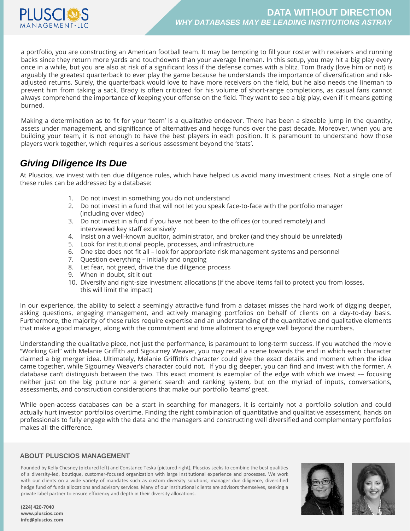

a portfolio, you are constructing an American football team. It may be tempting to fill your roster with receivers and running backs since they return more yards and touchdowns than your average lineman. In this setup, you may hit a big play every once in a while, but you are also at risk of a significant loss if the defense comes with a blitz. Tom Brady (love him or not) is arguably the greatest quarterback to ever play the game because he understands the importance of diversification and riskadjusted returns. Surely, the quarterback would love to have more receivers on the field, but he also needs the lineman to prevent him from taking a sack. Brady is often criticized for his volume of short-range completions, as casual fans cannot always comprehend the importance of keeping your offense on the field. They want to see a big play, even if it means getting burned.

Making a determination as to fit for your 'team' is a qualitative endeavor. There has been a sizeable jump in the quantity, assets under management, and significance of alternatives and hedge funds over the past decade. Moreover, when you are building your team, it is not enough to have the best players in each position. It is paramount to understand how those players work together, which requires a serious assessment beyond the 'stats'.

# *Giving Diligence Its Due*

At Pluscios, we invest with ten due diligence rules, which have helped us avoid many investment crises. Not a single one of these rules can be addressed by a database:

- 1. Do not invest in something you do not understand
- 2. Do not invest in a fund that will not let you speak face-to-face with the portfolio manager (including over video)
- 3. Do not invest in a fund if you have not been to the offices (or toured remotely) and interviewed key staff extensively
- 4. Insist on a well-known auditor, administrator, and broker (and they should be unrelated)
- 5. Look for institutional people, processes, and infrastructure
- 6. One size does not fit all look for appropriate risk management systems and personnel
- 7. Question everything initially and ongoing
- 8. Let fear, not greed, drive the due diligence process
- 9. When in doubt, sit it out
- 10. Diversify and right-size investment allocations (if the above items fail to protect you from losses, this will limit the impact)

In our experience, the ability to select a seemingly attractive fund from a dataset misses the hard work of digging deeper, asking questions, engaging management, and actively managing portfolios on behalf of clients on a day-to-day basis. Furthermore, the majority of these rules require expertise and an understanding of the quantitative and qualitative elements that make a good manager, along with the commitment and time allotment to engage well beyond the numbers.

Understanding the qualitative piece, not just the performance, is paramount to long-term success. If you watched the movie "Working Girl" with Melanie Griffith and Sigourney Weaver, you may recall a scene towards the end in which each character claimed a big merger idea. Ultimately, Melanie Griffith's character could give the exact details and moment when the idea came together, while Sigourney Weaver's character could not. If you dig deeper, you can find and invest with the former. A database can't distinguish between the two. This exact moment is exemplar of the edge with which we invest –– focusing neither just on the big picture nor a generic search and ranking system, but on the myriad of inputs, conversations, assessments, and construction considerations that make our portfolio 'teams' great.

While open-access databases can be a start in searching for managers, it is certainly not a portfolio solution and could actually hurt investor portfolios overtime. Finding the right combination of quantitative and qualitative assessment, hands on professionals to fully engage with the data and the managers and constructing well diversified and complementary portfolios makes all the difference.

#### **ABOUT PLUSCIOS MANAGEMENT**

Founded by Kelly Chesney (pictured left) and Constance Teska (pictured right), Pluscios seeks to combine the best qualities of a diversity-led, boutique, customer-focused organization with large institutional experience and processes. We work with our clients on a wide variety of mandates such as custom diversity solutions, manager due diligence, diversified hedge fund of funds allocations and advisory services. Many of our institutional clients are advisors themselves, seeking a private label partner to ensure efficiency and depth in their diversity allocations.



**(224) 420-7040 www.pluscios.com info@pluscios.com**